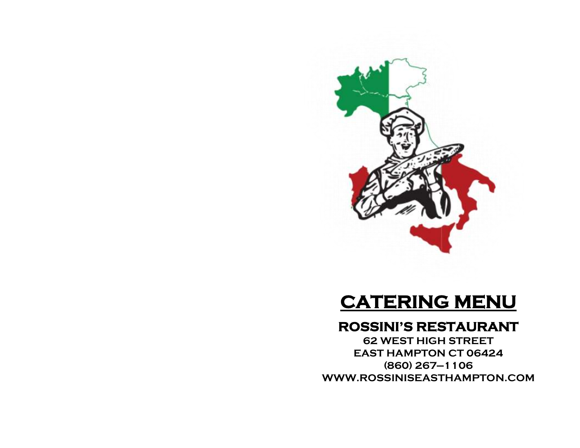

## **CATERING MENU**

## **ROSSINI'S RESTAURANT**

**62 WEST HIGH STREET EAST HAMPTON CT 06424 (860) 267—1106 WWW.ROSSINISEASTHAMPTON.COM**